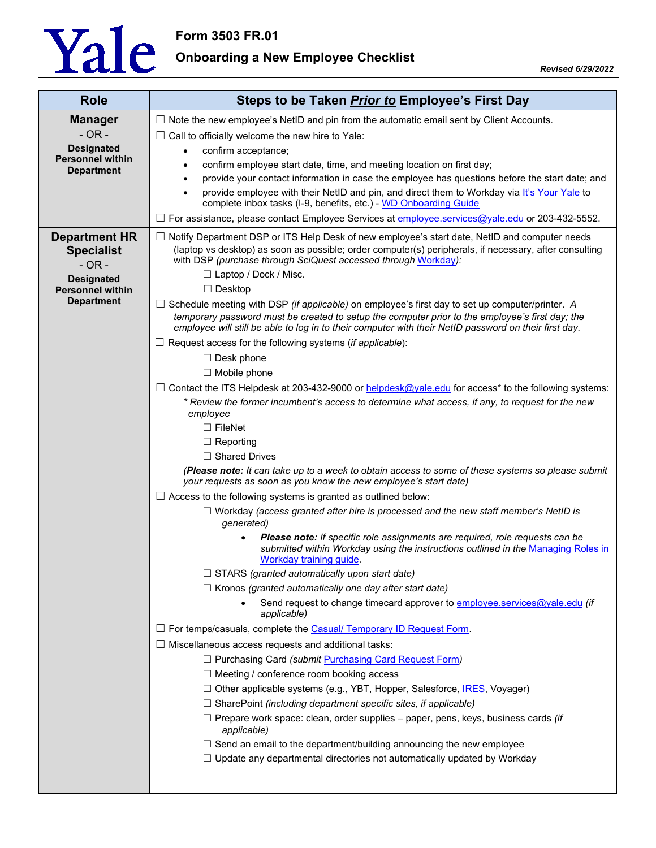

**Form 3503 FR.01**

**Onboarding a New Employee Checklist**

| <b>Role</b>                                  | Steps to be Taken Prior to Employee's First Day                                                                                                                                                          |
|----------------------------------------------|----------------------------------------------------------------------------------------------------------------------------------------------------------------------------------------------------------|
| <b>Manager</b>                               | $\Box$ Note the new employee's NetID and pin from the automatic email sent by Client Accounts.                                                                                                           |
| $-OR -$                                      | $\Box$ Call to officially welcome the new hire to Yale:                                                                                                                                                  |
| <b>Designated</b><br><b>Personnel within</b> | confirm acceptance;<br>$\bullet$                                                                                                                                                                         |
| <b>Department</b>                            | confirm employee start date, time, and meeting location on first day;<br>$\bullet$                                                                                                                       |
|                                              | provide your contact information in case the employee has questions before the start date; and                                                                                                           |
|                                              | provide employee with their NetID and pin, and direct them to Workday via It's Your Yale to<br>$\bullet$<br>complete inbox tasks (I-9, benefits, etc.) - WD Onboarding Guide                             |
|                                              | $\Box$ For assistance, please contact Employee Services at <b>employee</b> services @yale.edu or 203-432-5552.                                                                                           |
| <b>Department HR</b>                         | $\Box$ Notify Department DSP or ITS Help Desk of new employee's start date, NetID and computer needs                                                                                                     |
| <b>Specialist</b>                            | (laptop vs desktop) as soon as possible; order computer(s) peripherals, if necessary, after consulting                                                                                                   |
| $- OR -$                                     | with DSP (purchase through SciQuest accessed through Workday):<br>□ Laptop / Dock / Misc.                                                                                                                |
| <b>Designated</b><br><b>Personnel within</b> | $\Box$ Desktop                                                                                                                                                                                           |
| <b>Department</b>                            | $\Box$ Schedule meeting with DSP (if applicable) on employee's first day to set up computer/printer. A                                                                                                   |
|                                              | temporary password must be created to setup the computer prior to the employee's first day; the<br>employee will still be able to log in to their computer with their NetID password on their first day. |
|                                              | $\Box$ Request access for the following systems (if applicable):                                                                                                                                         |
|                                              | $\Box$ Desk phone                                                                                                                                                                                        |
|                                              | $\Box$ Mobile phone                                                                                                                                                                                      |
|                                              | $\Box$ Contact the ITS Helpdesk at 203-432-9000 or helpdesk@yale.edu for access* to the following systems:                                                                                               |
|                                              | * Review the former incumbent's access to determine what access, if any, to request for the new<br>employee                                                                                              |
|                                              | $\Box$ FileNet                                                                                                                                                                                           |
|                                              | $\Box$ Reporting                                                                                                                                                                                         |
|                                              | $\Box$ Shared Drives                                                                                                                                                                                     |
|                                              | (Please note: It can take up to a week to obtain access to some of these systems so please submit<br>your requests as soon as you know the new employee's start date)                                    |
|                                              | $\Box$ Access to the following systems is granted as outlined below:                                                                                                                                     |
|                                              | $\Box$ Workday (access granted after hire is processed and the new staff member's NetID is<br>generated)                                                                                                 |
|                                              | Please note: If specific role assignments are required, role requests can be<br>submitted within Workday using the instructions outlined in the Managing Roles in<br>Workday training guide.             |
|                                              | $\Box$ STARS (granted automatically upon start date)                                                                                                                                                     |
|                                              | $\Box$ Kronos (granted automatically one day after start date)                                                                                                                                           |
|                                              | Send request to change timecard approver to employee.services@yale.edu (if<br>applicable)                                                                                                                |
|                                              | □ For temps/casuals, complete the Casual/ Temporary ID Request Form.                                                                                                                                     |
|                                              | Miscellaneous access requests and additional tasks:<br>ப                                                                                                                                                 |
|                                              | □ Purchasing Card (submit Purchasing Card Request Form)                                                                                                                                                  |
|                                              | $\Box$ Meeting / conference room booking access                                                                                                                                                          |
|                                              | □ Other applicable systems (e.g., YBT, Hopper, Salesforce, IRES, Voyager)                                                                                                                                |
|                                              | $\Box$ SharePoint (including department specific sites, if applicable)                                                                                                                                   |
|                                              | $\Box$ Prepare work space: clean, order supplies – paper, pens, keys, business cards (if<br>applicable)                                                                                                  |
|                                              | $\Box$ Send an email to the department/building announcing the new employee                                                                                                                              |
|                                              | $\Box$ Update any departmental directories not automatically updated by Workday                                                                                                                          |
|                                              |                                                                                                                                                                                                          |